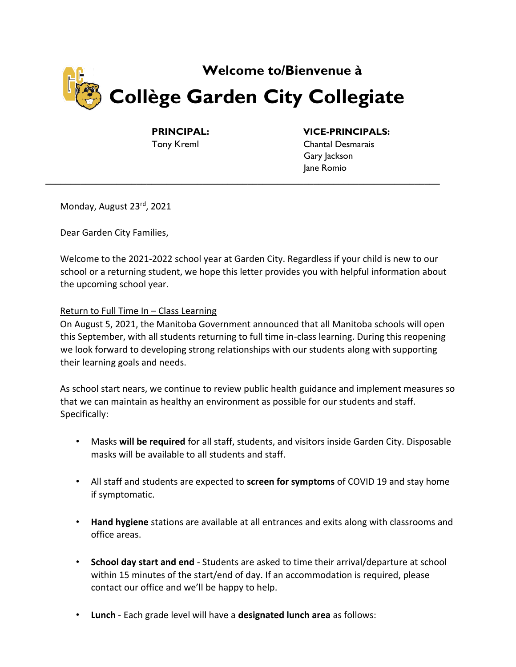

**\_\_\_\_\_\_\_\_\_\_\_\_\_\_\_\_\_\_\_\_\_\_\_\_\_\_\_\_\_\_\_\_\_\_\_\_\_\_\_\_\_\_\_\_\_\_\_\_\_\_\_\_\_\_\_\_\_\_\_\_\_\_\_\_\_\_\_\_\_\_\_\_\_\_\_\_\_\_** 

## **PRINCIPAL: VICE-PRINCIPALS:**

Tony Kreml Chantal Desmarais Gary Jackson Jane Romio

Monday, August 23rd, 2021

Dear Garden City Families,

Welcome to the 2021-2022 school year at Garden City. Regardless if your child is new to our school or a returning student, we hope this letter provides you with helpful information about the upcoming school year.

### Return to Full Time In – Class Learning

On August 5, 2021, the Manitoba Government announced that all Manitoba schools will open this September, with all students returning to full time in-class learning. During this reopening we look forward to developing strong relationships with our students along with supporting their learning goals and needs.

As school start nears, we continue to review public health guidance and implement measures so that we can maintain as healthy an environment as possible for our students and staff. Specifically:

- Masks **will be required** for all staff, students, and visitors inside Garden City. Disposable masks will be available to all students and staff.
- All staff and students are expected to **screen for symptoms** of COVID 19 and stay home if symptomatic.
- **Hand hygiene** stations are available at all entrances and exits along with classrooms and office areas.
- **School day start and end** Students are asked to time their arrival/departure at school within 15 minutes of the start/end of day. If an accommodation is required, please contact our office and we'll be happy to help.
- **Lunch** Each grade level will have a **designated lunch area** as follows: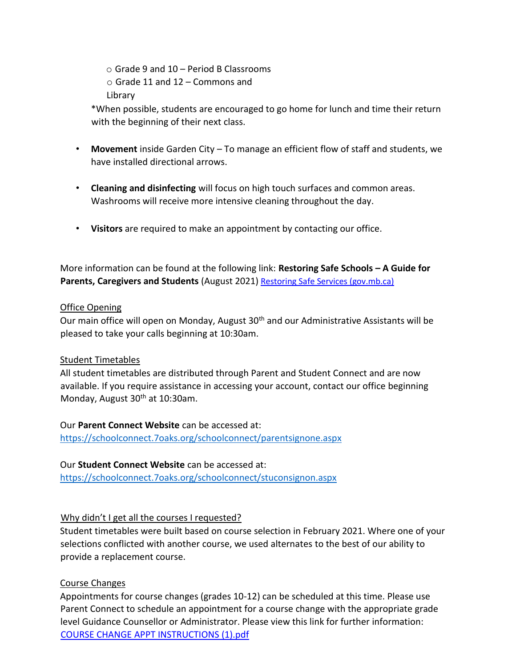o Grade 9 and 10 – Period B Classrooms  $\circ$  Grade 11 and 12 – Commons and Library

\*When possible, students are encouraged to go home for lunch and time their return with the beginning of their next class.

- **Movement** inside Garden City To manage an efficient flow of staff and students, we have installed directional arrows.
- **Cleaning and disinfecting** will focus on high touch surfaces and common areas. Washrooms will receive more intensive cleaning throughout the day.
- **Visitors** are required to make an appointment by contacting our office.

More information can be found at the following link: **Restoring Safe Schools – A Guide for Parents, Caregivers and Students** (August 2021) [Restoring Safe Services \(gov.mb.ca\)](https://news.gov.mb.ca/asset_library/en/newslinks/2021/08/K-12_GuideForParents_Aug_2021_FNL.pdf)

## Office Opening

Our main office will open on Monday, August 30<sup>th</sup> and our Administrative Assistants will be pleased to take your calls beginning at 10:30am.

# Student Timetables

All student timetables are distributed through Parent and Student Connect and are now available. If you require assistance in accessing your account, contact our office beginning Monday, August 30<sup>th</sup> at 10:30am.

Our **Parent Connect Website** can be accessed at:

<https://schoolconnect.7oaks.org/schoolconnect/parentsignone.aspx>

# Our **Student Connect Website** can be accessed at:

<https://schoolconnect.7oaks.org/schoolconnect/stuconsignon.aspx>

# Why didn't I get all the courses I requested?

Student timetables were built based on course selection in February 2021. Where one of your selections conflicted with another course, we used alternates to the best of our ability to provide a replacement course.

# Course Changes

Appointments for course changes (grades 10-12) can be scheduled at this time. Please use Parent Connect to schedule an appointment for a course change with the appropriate grade level Guidance Counsellor or Administrator. Please view this link for further information: COURSE CHANGE APPT INSTRUCTIONS (1).pdf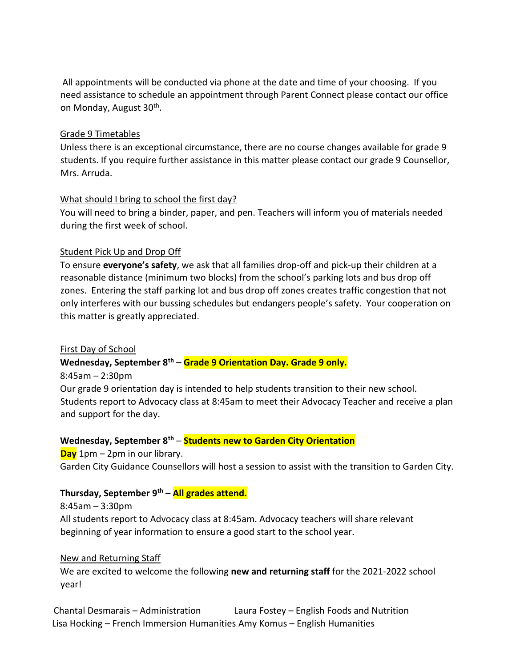All appointments will be conducted via phone at the date and time of your choosing. If you need assistance to schedule an appointment through Parent Connect please contact our office on Monday, August 30<sup>th</sup>.

## Grade 9 Timetables

Unless there is an exceptional circumstance, there are no course changes available for grade 9 students. If you require further assistance in this matter please contact our grade 9 Counsellor, Mrs. Arruda.

## What should I bring to school the first day?

You will need to bring a binder, paper, and pen. Teachers will inform you of materials needed during the first week of school.

## Student Pick Up and Drop Off

To ensure **everyone's safety**, we ask that all families drop-off and pick-up their children at a reasonable distance (minimum two blocks) from the school's parking lots and bus drop off zones. Entering the staff parking lot and bus drop off zones creates traffic congestion that not only interferes with our bussing schedules but endangers people's safety. Your cooperation on this matter is greatly appreciated.

# First Day of School

# **Wednesday, September 8th – Grade 9 Orientation Day. Grade 9 only.**

8:45am – 2:30pm

Our grade 9 orientation day is intended to help students transition to their new school. Students report to Advocacy class at 8:45am to meet their Advocacy Teacher and receive a plan and support for the day.

### **Wednesday, September 8th** – **Students new to Garden City Orientation**

**Day** 1pm – 2pm in our library.

Garden City Guidance Counsellors will host a session to assist with the transition to Garden City.

## **Thursday, September 9th – All grades attend.**

8:45am – 3:30pm All students report to Advocacy class at 8:45am. Advocacy teachers will share relevant beginning of year information to ensure a good start to the school year.

### New and Returning Staff

We are excited to welcome the following **new and returning staff** for the 2021-2022 school year!

Chantal Desmarais – Administration Laura Fostey – English Foods and Nutrition Lisa Hocking – French Immersion Humanities Amy Komus – English Humanities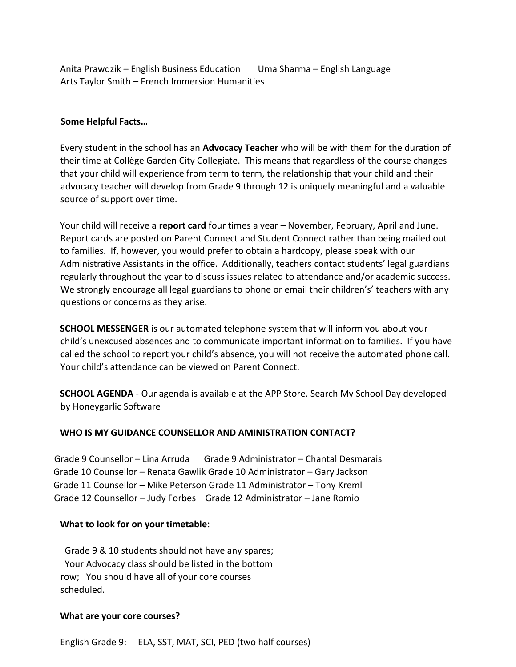Anita Prawdzik – English Business Education Uma Sharma – English Language Arts Taylor Smith – French Immersion Humanities

#### **Some Helpful Facts…**

Every student in the school has an **Advocacy Teacher** who will be with them for the duration of their time at Collège Garden City Collegiate. This means that regardless of the course changes that your child will experience from term to term, the relationship that your child and their advocacy teacher will develop from Grade 9 through 12 is uniquely meaningful and a valuable source of support over time.

Your child will receive a **report card** four times a year – November, February, April and June. Report cards are posted on Parent Connect and Student Connect rather than being mailed out to families. If, however, you would prefer to obtain a hardcopy, please speak with our Administrative Assistants in the office. Additionally, teachers contact students' legal guardians regularly throughout the year to discuss issues related to attendance and/or academic success. We strongly encourage all legal guardians to phone or email their children's' teachers with any questions or concerns as they arise.

**SCHOOL MESSENGER** is our automated telephone system that will inform you about your child's unexcused absences and to communicate important information to families. If you have called the school to report your child's absence, you will not receive the automated phone call. Your child's attendance can be viewed on Parent Connect.

**SCHOOL AGENDA** - Our agenda is available at the APP Store. Search My School Day developed by Honeygarlic Software

#### **WHO IS MY GUIDANCE COUNSELLOR AND AMINISTRATION CONTACT?**

Grade 9 Counsellor – Lina Arruda Grade 9 Administrator – Chantal Desmarais Grade 10 Counsellor – Renata Gawlik Grade 10 Administrator – Gary Jackson Grade 11 Counsellor – Mike Peterson Grade 11 Administrator – Tony Kreml Grade 12 Counsellor – Judy Forbes Grade 12 Administrator – Jane Romio

#### **What to look for on your timetable:**

 Grade 9 & 10 students should not have any spares; Your Advocacy class should be listed in the bottom row; You should have all of your core courses scheduled.

#### **What are your core courses?**

English Grade 9: ELA, SST, MAT, SCI, PED (two half courses)